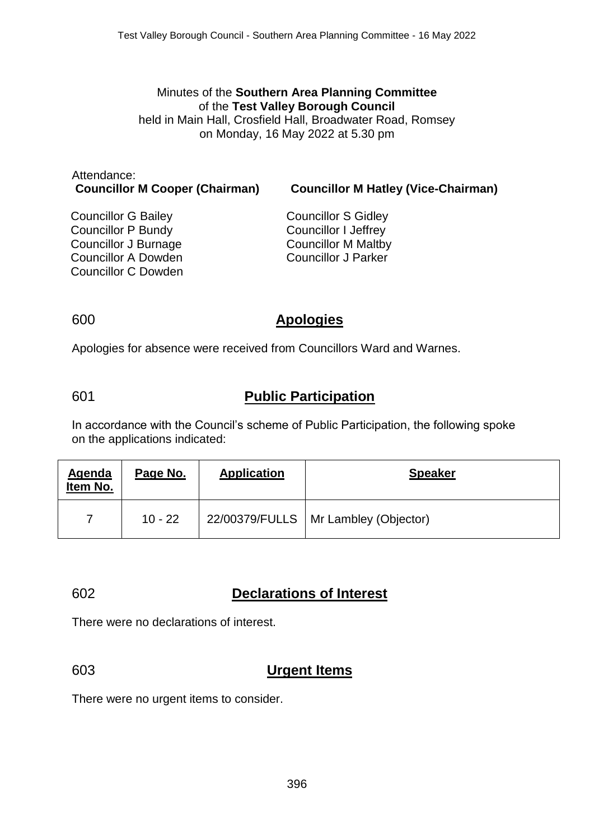Minutes of the **Southern Area Planning Committee** of the **Test Valley Borough Council** held in Main Hall, Crosfield Hall, Broadwater Road, Romsey on Monday, 16 May 2022 at 5.30 pm

Attendance:

**Councillor M Cooper (Chairman) Councillor M Hatley (Vice-Chairman)**

Councillor G Bailey Councillor P Bundy Councillor J Burnage Councillor A Dowden Councillor C Dowden Councillor S Gidley Councillor I Jeffrey Councillor M Maltby Councillor J Parker

#### 600 **Apologies**

Apologies for absence were received from Councillors Ward and Warnes.

### 601 **Public Participation**

In accordance with the Council's scheme of Public Participation, the following spoke on the applications indicated:

| Agenda<br>Item No. | Page No.  | <b>Application</b> | <b>Speaker</b>                         |
|--------------------|-----------|--------------------|----------------------------------------|
|                    | $10 - 22$ |                    | 22/00379/FULLS   Mr Lambley (Objector) |

#### 602 **Declarations of Interest**

There were no declarations of interest.

# 603 **Urgent Items**

There were no urgent items to consider.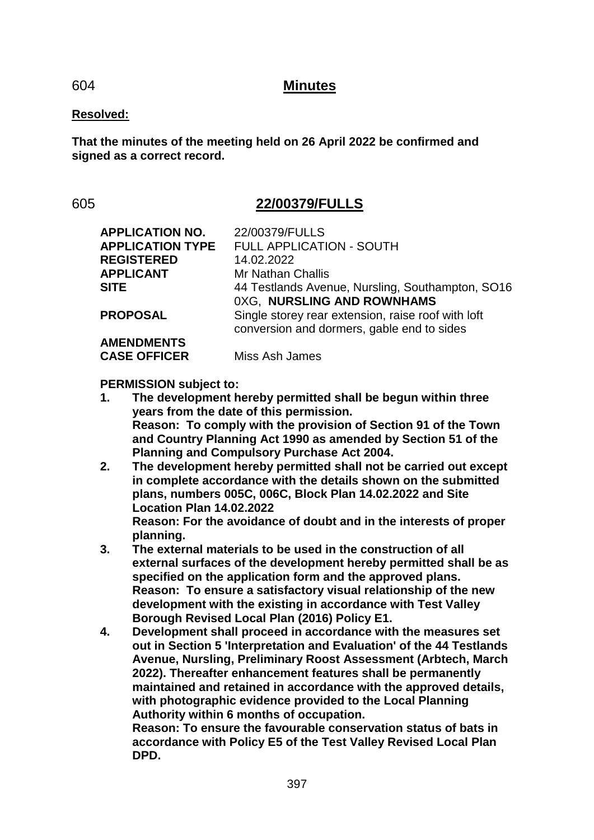#### 604 **Minutes**

#### **Resolved:**

**That the minutes of the meeting held on 26 April 2022 be confirmed and signed as a correct record.**

### 605 **22/00379/FULLS**

| <b>APPLICATION NO.</b><br><b>APPLICATION TYPE</b> | 22/00379/FULLS<br><b>FULL APPLICATION - SOUTH</b>  |
|---------------------------------------------------|----------------------------------------------------|
| <b>REGISTERED</b>                                 | 14.02.2022                                         |
| <b>APPLICANT</b>                                  | <b>Mr Nathan Challis</b>                           |
| <b>SITE</b>                                       | 44 Testlands Avenue, Nursling, Southampton, SO16   |
|                                                   | 0XG, NURSLING AND ROWNHAMS                         |
| <b>PROPOSAL</b>                                   | Single storey rear extension, raise roof with loft |
|                                                   | conversion and dormers, gable end to sides         |
| <b>AMENDMENTS</b>                                 |                                                    |
| <b>CASE OFFICER</b>                               | Miss Ash James                                     |

**PERMISSION subject to:**

- **1. The development hereby permitted shall be begun within three years from the date of this permission. Reason: To comply with the provision of Section 91 of the Town and Country Planning Act 1990 as amended by Section 51 of the Planning and Compulsory Purchase Act 2004.**
- **2. The development hereby permitted shall not be carried out except in complete accordance with the details shown on the submitted plans, numbers 005C, 006C, Block Plan 14.02.2022 and Site Location Plan 14.02.2022 Reason: For the avoidance of doubt and in the interests of proper planning.**
- **3. The external materials to be used in the construction of all external surfaces of the development hereby permitted shall be as specified on the application form and the approved plans. Reason: To ensure a satisfactory visual relationship of the new development with the existing in accordance with Test Valley Borough Revised Local Plan (2016) Policy E1.**
- **4. Development shall proceed in accordance with the measures set out in Section 5 'Interpretation and Evaluation' of the 44 Testlands Avenue, Nursling, Preliminary Roost Assessment (Arbtech, March 2022). Thereafter enhancement features shall be permanently maintained and retained in accordance with the approved details, with photographic evidence provided to the Local Planning Authority within 6 months of occupation.**

**Reason: To ensure the favourable conservation status of bats in accordance with Policy E5 of the Test Valley Revised Local Plan DPD.**